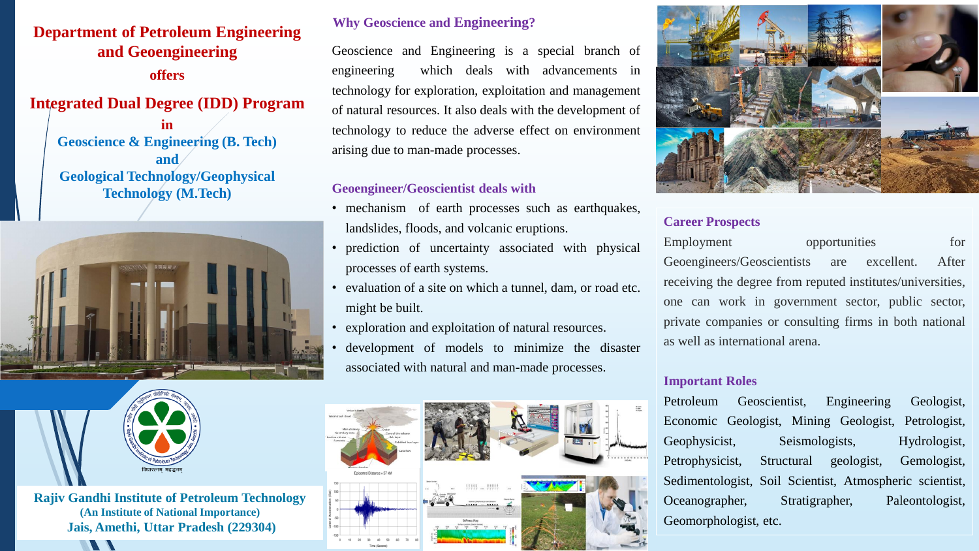# **Department of Petroleum Engineering and Geoengineering offers**

**Integrated Dual Degree (IDD) Program in** 

**Geoscience & Engineering (B. Tech) and Geological Technology/Geophysical Technology (M.Tech)**





 $\blacksquare$ 

**Rajiv Gandhi Institute of Petroleum Technology (An Institute of National Importance) Jais, Amethi, Uttar Pradesh (229304)**

## **Why Geoscience and Engineering?**

Geoscience and Engineering is a special branch of engineering which deals with advancements in technology for exploration, exploitation and management of natural resources. It also deals with the development of technology to reduce the adverse effect on environment arising due to man-made processes.

# **Geoengineer/Geoscientist deals with**

- mechanism of earth processes such as earthquakes, landslides, floods, and volcanic eruptions.
- prediction of uncertainty associated with physical processes of earth systems.
- evaluation of a site on which a tunnel, dam, or road etc. might be built.
- exploration and exploitation of natural resources.
- development of models to minimize the disaster associated with natural and man-made processes.





## **Career Prospects**

Employment opportunities for Geoengineers/Geoscientists are excellent. After receiving the degree from reputed institutes/universities, one can work in government sector, public sector, private companies or consulting firms in both national as well as international arena.

### **Important Roles**

Petroleum Geoscientist, Engineering Geologist, Economic Geologist, Mining Geologist, Petrologist, Geophysicist, Seismologists, Hydrologist, Petrophysicist, Structural geologist, Gemologist, Sedimentologist, Soil Scientist, Atmospheric scientist, Oceanographer, Stratigrapher, Paleontologist, Geomorphologist, etc.